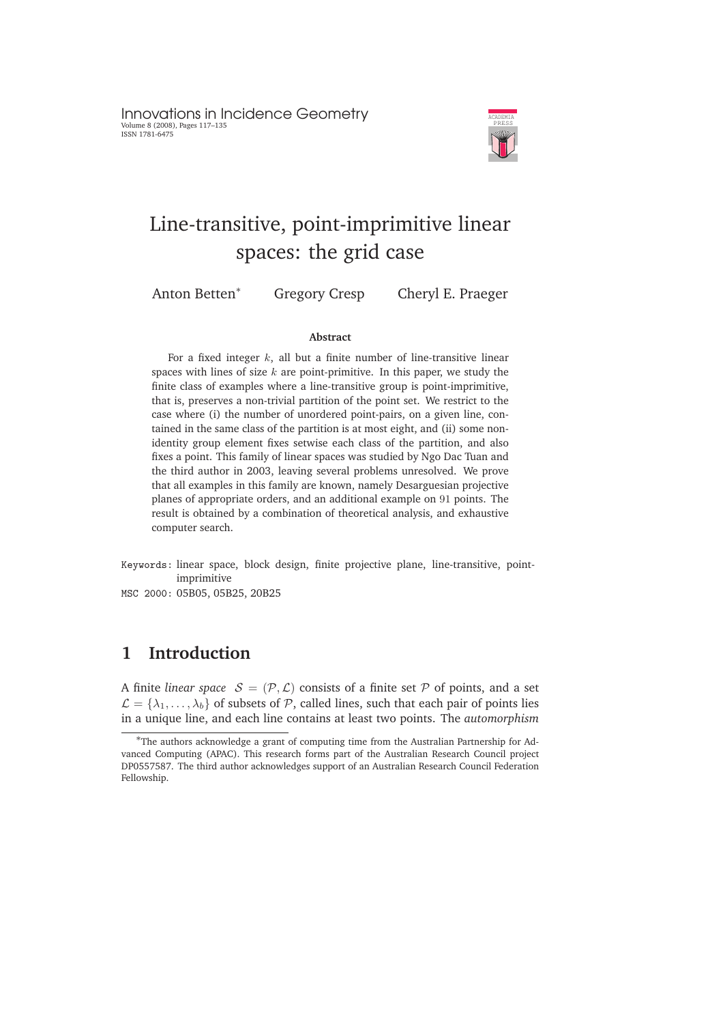

# Line-transitive, point-imprimitive linear spaces: the grid case

Anton Betten<sup>∗</sup> Gregory Cresp Cheryl E. Praeger

#### **Abstract**

For a fixed integer  $k$ , all but a finite number of line-transitive linear spaces with lines of size  $k$  are point-primitive. In this paper, we study the finite class of examples where a line-transitive group is point-imprimitive, that is, preserves a non-trivial partition of the point set. We restrict to the case where (i) the number of unordered point-pairs, on a given line, contained in the same class of the partition is at most eight, and (ii) some nonidentity group element fixes setwise each class of the partition, and also fixes a point. This family of linear spaces was studied by Ngo Dac Tuan and the third author in 2003, leaving several problems unresolved. We prove that all examples in this family are known, namely Desarguesian projective planes of appropriate orders, and an additional example on 91 points. The result is obtained by a combination of theoretical analysis, and exhaustive computer search.

- Keywords: linear space, block design, finite projective plane, line-transitive, pointimprimitive
- MSC 2000: 05B05, 05B25, 20B25

## **1 Introduction**

A finite *linear space*  $S = (\mathcal{P}, \mathcal{L})$  consists of a finite set  $\mathcal P$  of points, and a set  $\mathcal{L} = {\lambda_1, \ldots, \lambda_b}$  of subsets of P, called lines, such that each pair of points lies in a unique line, and each line contains at least two points. The *automorphism*

<sup>∗</sup>The authors acknowledge a grant of computing time from the Australian Partnership for Advanced Computing (APAC). This research forms part of the Australian Research Council project DP0557587. The third author acknowledges support of an Australian Research Council Federation Fellowship.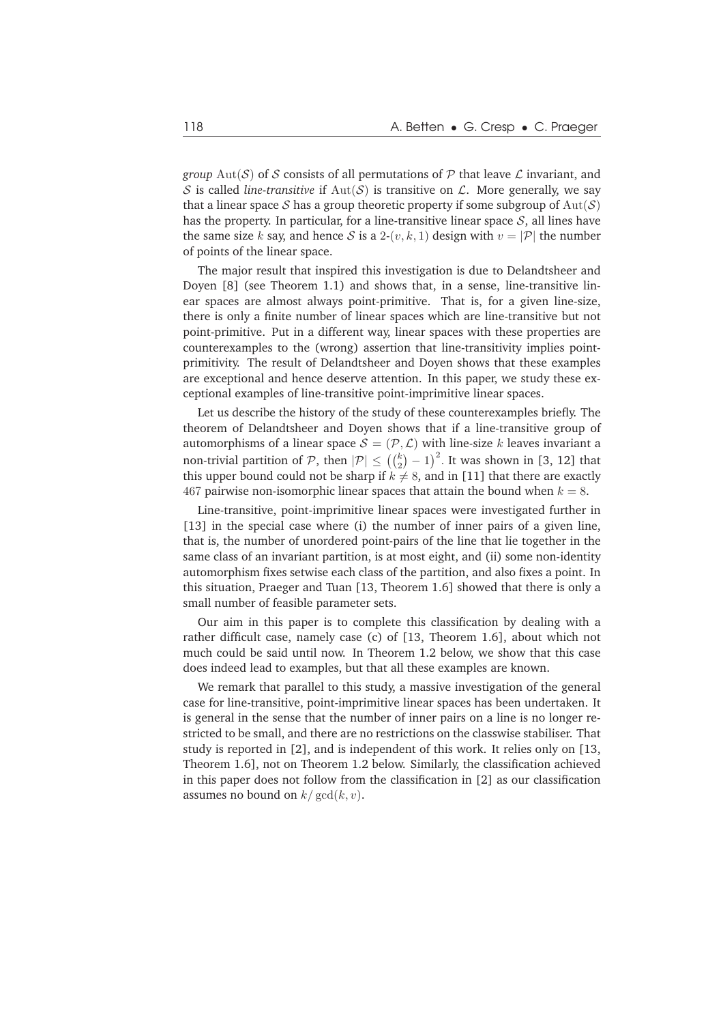*group*  $Aut(S)$  of S consists of all permutations of P that leave L invariant, and S is called *line-transitive* if  $Aut(S)$  is transitive on L. More generally, we say that a linear space S has a group theoretic property if some subgroup of  $Aut(S)$ has the property. In particular, for a line-transitive linear space  $S$ , all lines have the same size k say, and hence S is a 2- $(v, k, 1)$  design with  $v = |\mathcal{P}|$  the number of points of the linear space.

The major result that inspired this investigation is due to Delandtsheer and Doyen [8] (see Theorem 1.1) and shows that, in a sense, line-transitive linear spaces are almost always point-primitive. That is, for a given line-size, there is only a finite number of linear spaces which are line-transitive but not point-primitive. Put in a different way, linear spaces with these properties are counterexamples to the (wrong) assertion that line-transitivity implies pointprimitivity. The result of Delandtsheer and Doyen shows that these examples are exceptional and hence deserve attention. In this paper, we study these exceptional examples of line-transitive point-imprimitive linear spaces.

Let us describe the history of the study of these counterexamples briefly. The theorem of Delandtsheer and Doyen shows that if a line-transitive group of automorphisms of a linear space  $S = (\mathcal{P}, \mathcal{L})$  with line-size k leaves invariant a non-trivial partition of  $\mathcal{P}$ , then  $|\mathcal{P}| \leq \left(\binom{k}{2}-1\right)^2$ . It was shown in [3, 12] that this upper bound could not be sharp if  $k \neq 8$ , and in [11] that there are exactly 467 pairwise non-isomorphic linear spaces that attain the bound when  $k = 8$ .

Line-transitive, point-imprimitive linear spaces were investigated further in [13] in the special case where (i) the number of inner pairs of a given line, that is, the number of unordered point-pairs of the line that lie together in the same class of an invariant partition, is at most eight, and (ii) some non-identity automorphism fixes setwise each class of the partition, and also fixes a point. In this situation, Praeger and Tuan [13, Theorem 1.6] showed that there is only a small number of feasible parameter sets.

Our aim in this paper is to complete this classification by dealing with a rather difficult case, namely case (c) of [13, Theorem 1.6], about which not much could be said until now. In Theorem 1.2 below, we show that this case does indeed lead to examples, but that all these examples are known.

We remark that parallel to this study, a massive investigation of the general case for line-transitive, point-imprimitive linear spaces has been undertaken. It is general in the sense that the number of inner pairs on a line is no longer restricted to be small, and there are no restrictions on the classwise stabiliser. That study is reported in [2], and is independent of this work. It relies only on [13, Theorem 1.6], not on Theorem 1.2 below. Similarly, the classification achieved in this paper does not follow from the classification in [2] as our classification assumes no bound on  $k/\gcd(k, v)$ .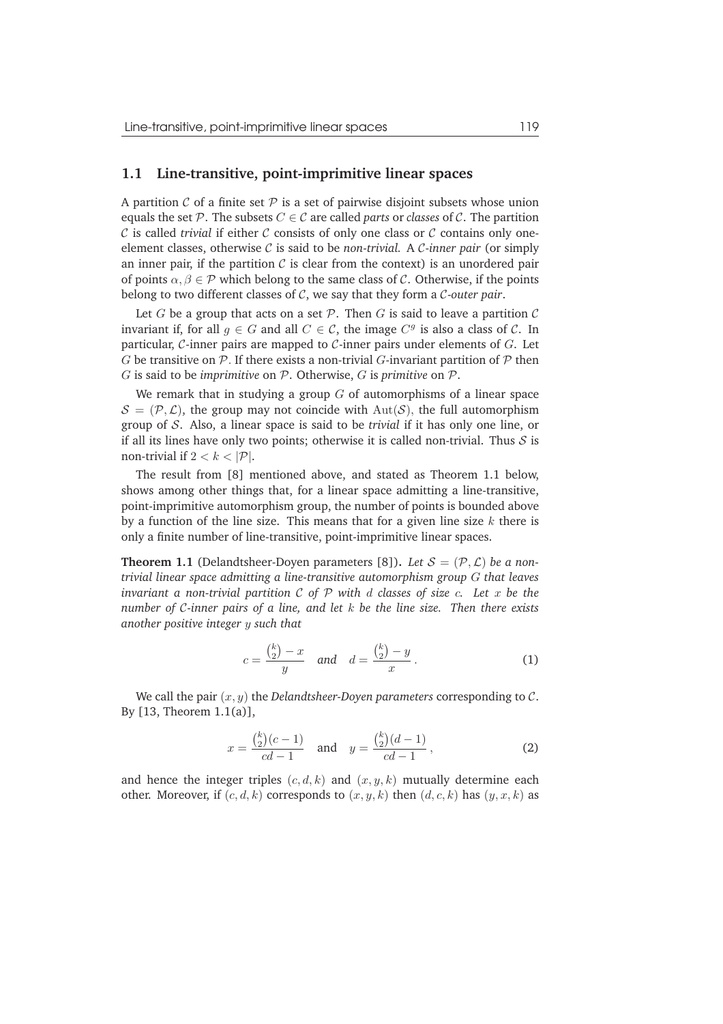#### **1.1 Line-transitive, point-imprimitive linear spaces**

A partition  $\mathcal C$  of a finite set  $\mathcal P$  is a set of pairwise disjoint subsets whose union equals the set  $P$ . The subsets  $C \in \mathcal{C}$  are called *parts* or *classes* of  $\mathcal{C}$ . The partition  $C$  is called *trivial* if either  $C$  consists of only one class or  $C$  contains only oneelement classes, otherwise C is said to be *non-trivial.* A C-*inner pair* (or simply an inner pair, if the partition  $C$  is clear from the context) is an unordered pair of points  $\alpha, \beta \in \mathcal{P}$  which belong to the same class of C. Otherwise, if the points belong to two different classes of C, we say that they form a C-*outer pair*.

Let G be a group that acts on a set  $P$ . Then G is said to leave a partition C invariant if, for all  $g \in G$  and all  $C \in \mathcal{C}$ , the image  $C^g$  is also a class of  $\mathcal{C}$ . In particular, C-inner pairs are mapped to C-inner pairs under elements of  $G$ . Let G be transitive on  $P$ . If there exists a non-trivial G-invariant partition of  $P$  then G is said to be *imprimitive* on P. Otherwise, G is *primitive* on P.

We remark that in studying a group  $G$  of automorphisms of a linear space  $S = (\mathcal{P}, \mathcal{L})$ , the group may not coincide with  $Aut(\mathcal{S})$ , the full automorphism group of S. Also, a linear space is said to be *trivial* if it has only one line, or if all its lines have only two points; otherwise it is called non-trivial. Thus  $S$  is non-trivial if  $2 < k < |\mathcal{P}|$ .

The result from [8] mentioned above, and stated as Theorem 1.1 below, shows among other things that, for a linear space admitting a line-transitive, point-imprimitive automorphism group, the number of points is bounded above by a function of the line size. This means that for a given line size  $k$  there is only a finite number of line-transitive, point-imprimitive linear spaces.

**Theorem 1.1** (Delandtsheer-Doyen parameters [8]). Let  $S = (\mathcal{P}, \mathcal{L})$  be a non*trivial linear space admitting a line-transitive automorphism group* G *that leaves invariant a non-trivial partition* C *of* P *with* d *classes of size* c*. Let* x *be the number of* C*-inner pairs of a line, and let* k *be the line size. Then there exists another positive integer* y *such that*

$$
c = \frac{\binom{k}{2} - x}{y} \quad \text{and} \quad d = \frac{\binom{k}{2} - y}{x} \,. \tag{1}
$$

We call the pair  $(x, y)$  the *Delandtsheer-Doyen parameters* corresponding to  $C$ . By [13, Theorem 1.1(a)],

$$
x = \frac{\binom{k}{2}(c-1)}{cd-1} \quad \text{and} \quad y = \frac{\binom{k}{2}(d-1)}{cd-1},\tag{2}
$$

and hence the integer triples  $(c, d, k)$  and  $(x, y, k)$  mutually determine each other. Moreover, if  $(c, d, k)$  corresponds to  $(x, y, k)$  then  $(d, c, k)$  has  $(y, x, k)$  as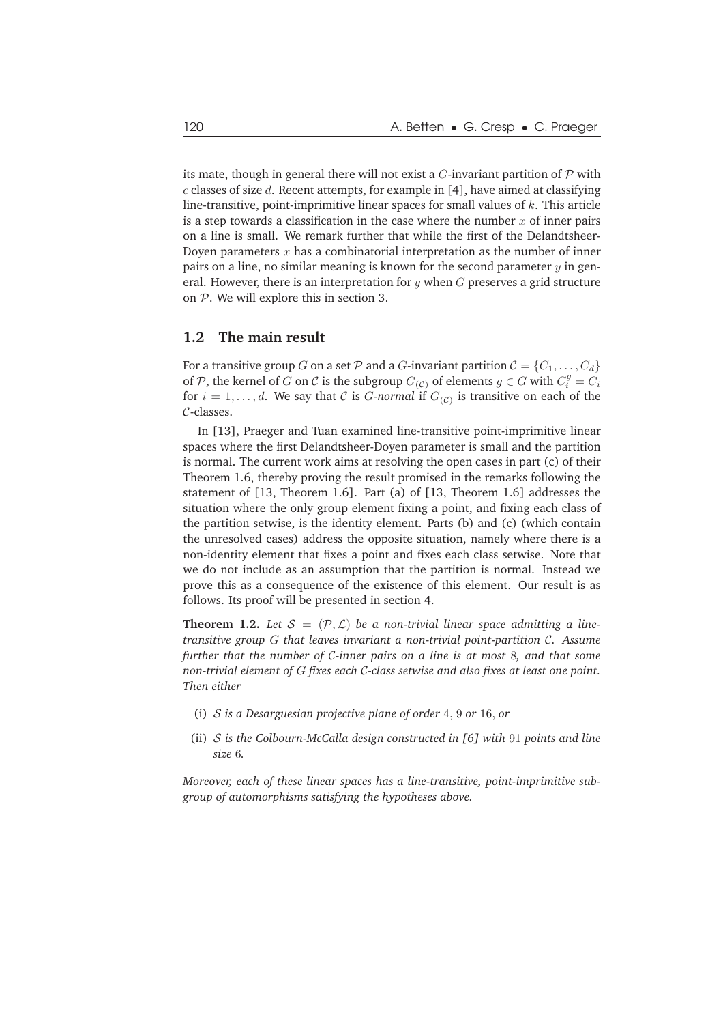its mate, though in general there will not exist a  $G$ -invariant partition of  $P$  with  $c$  classes of size  $d$ . Recent attempts, for example in [4], have aimed at classifying line-transitive, point-imprimitive linear spaces for small values of  $k$ . This article is a step towards a classification in the case where the number  $x$  of inner pairs on a line is small. We remark further that while the first of the Delandtsheer-Doyen parameters  $x$  has a combinatorial interpretation as the number of inner pairs on a line, no similar meaning is known for the second parameter  $\gamma$  in general. However, there is an interpretation for  $y$  when  $G$  preserves a grid structure on  $P$ . We will explore this in section 3.

#### **1.2 The main result**

For a transitive group G on a set P and a G-invariant partition  $C = \{C_1, \ldots, C_d\}$ of  $P$ , the kernel of  $G$  on  $C$  is the subgroup  $G_{(C)}$  of elements  $g \in G$  with  $C_i^g = C_i$ for  $i=1,\ldots,d.$  We say that  $\mathcal C$  is  $G\text{-}normal$  if  $G_{(\mathcal C)}$  is transitive on each of the C-classes.

In [13], Praeger and Tuan examined line-transitive point-imprimitive linear spaces where the first Delandtsheer-Doyen parameter is small and the partition is normal. The current work aims at resolving the open cases in part (c) of their Theorem 1.6, thereby proving the result promised in the remarks following the statement of [13, Theorem 1.6]. Part (a) of [13, Theorem 1.6] addresses the situation where the only group element fixing a point, and fixing each class of the partition setwise, is the identity element. Parts (b) and (c) (which contain the unresolved cases) address the opposite situation, namely where there is a non-identity element that fixes a point and fixes each class setwise. Note that we do not include as an assumption that the partition is normal. Instead we prove this as a consequence of the existence of this element. Our result is as follows. Its proof will be presented in section 4.

**Theorem 1.2.** Let  $S = (\mathcal{P}, \mathcal{L})$  be a non-trivial linear space admitting a line*transitive group* G *that leaves invariant a non-trivial point-partition* C*. Assume further that the number of* C*-inner pairs on a line is at most* 8*, and that some non-trivial element of* G *fixes each* C*-class setwise and also fixes at least one point. Then either*

- (i) S *is a Desarguesian projective plane of order* 4, 9 *or* 16, *or*
- (ii) S *is the Colbourn-McCalla design constructed in [6] with* 91 *points and line size* 6*.*

*Moreover, each of these linear spaces has a line-transitive, point-imprimitive subgroup of automorphisms satisfying the hypotheses above.*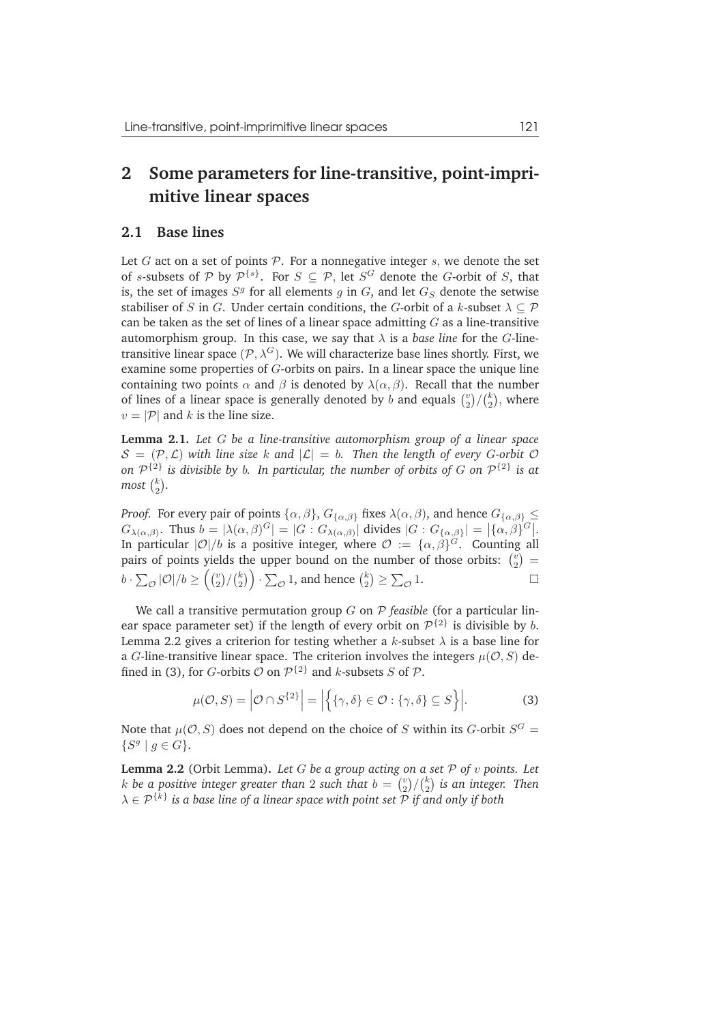# **2 Some parameters for line-transitive, point-imprimitive linear spaces**

#### **2.1 Base lines**

Let G act on a set of points  $P$ . For a nonnegative integer s, we denote the set of s-subsets of  $P$  by  $\mathcal{P}^{\{s\}}$ . For  $S \subseteq \mathcal{P}$ , let  $S^G$  denote the G-orbit of S, that is, the set of images  $S<sup>g</sup>$  for all elements  $g$  in  $G$ , and let  $G_S$  denote the setwise stabiliser of S in G. Under certain conditions, the G-orbit of a k-subset  $\lambda \subset \mathcal{P}$ can be taken as the set of lines of a linear space admitting  $G$  as a line-transitive automorphism group. In this case, we say that  $\lambda$  is a *base line* for the *G*-linetransitive linear space  $(\mathcal{P}, \lambda^G)$ . We will characterize base lines shortly. First, we examine some properties of G-orbits on pairs. In a linear space the unique line containing two points  $\alpha$  and  $\beta$  is denoted by  $\lambda(\alpha, \beta)$ . Recall that the number of lines of a linear space is generally denoted by b and equals  $\binom{v}{2}$  $_{2}^{v})/({}_{2}^{k}$  $_2^k$ ), where  $v = |\mathcal{P}|$  and k is the line size.

**Lemma 2.1.** *Let* G *be a line-transitive automorphism group of a linear space*  $S = (\mathcal{P}, \mathcal{L})$  with line size k and  $|\mathcal{L}| = b$ . Then the length of every G-orbit  $\mathcal{O}$ on  $\mathcal{P}^{\{2\}}$  is divisible by  $b$ . In particular, the number of orbits of  $G$  on  $\mathcal{P}^{\{2\}}$  is at most  $\binom{k}{2}$  $_{2}^{k}).$ 

*Proof.* For every pair of points  $\{\alpha, \beta\}$ ,  $G_{\{\alpha, \beta\}}$  fixes  $\lambda(\alpha, \beta)$ , and hence  $G_{\{\alpha, \beta\}} \leq$  $G_{\lambda(\alpha,\beta)}$ . Thus  $b = |\lambda(\alpha,\beta)^G| = |G : G_{\lambda(\alpha,\beta)}|$  divides  $|G : G_{\{\alpha,\beta\}}| = |\{\alpha,\beta\}^G|$ . In particular  $|{\cal O}|/b$  is a positive integer, where  ${\cal O} := \{\alpha, \beta\}^G$ . Counting all pairs of points yields the upper bound on the number of those orbits:  $\binom{v}{2}$  $\binom{v}{2} =$  $b \cdot \sum_{\mathcal{O}}|\mathcal{O}|/b \geq \Big(\binom{v}{2}$  $_{2}^{v})/(_{2}^{k}$  $\binom{k}{2} \cdot \sum_{\mathcal{O}} 1$ , and hence  $\binom{k}{2}$  $\binom{k}{2} \ge \sum_{\mathcal{O}} 1.$ 

We call a transitive permutation group G on P *feasible* (for a particular linear space parameter set) if the length of every orbit on  $\mathcal{P}^{\{2\}}$  is divisible by b. Lemma 2.2 gives a criterion for testing whether a  $k$ -subset  $\lambda$  is a base line for a G-line-transitive linear space. The criterion involves the integers  $\mu(O, S)$  defined in (3), for *G*-orbits  $\mathcal O$  on  $\mathcal P^{\{2\}}$  and *k*-subsets *S* of  $\mathcal P$ .

$$
\mu(\mathcal{O}, S) = |\mathcal{O} \cap S^{\{2\}}| = |\{\{\gamma, \delta\} \in \mathcal{O} : \{\gamma, \delta\} \subseteq S\}|.
$$
 (3)

Note that  $\mu(O, S)$  does not depend on the choice of S within its G-orbit  $S^G =$  $\{S^g \mid g \in G\}.$ 

**Lemma 2.2** (Orbit Lemma)**.** *Let* G *be a group acting on a set* P *of* v *points. Let* k be a positive integer greater than 2 such that  $b = {v \choose 2}$  $_{2}^{v})/(_{2}^{k}$ 2 *is an integer. Then*  $\lambda \in \mathcal{P}^{\{k\}}$  is a base line of a linear space with point set  $\mathcal P$  if and only if both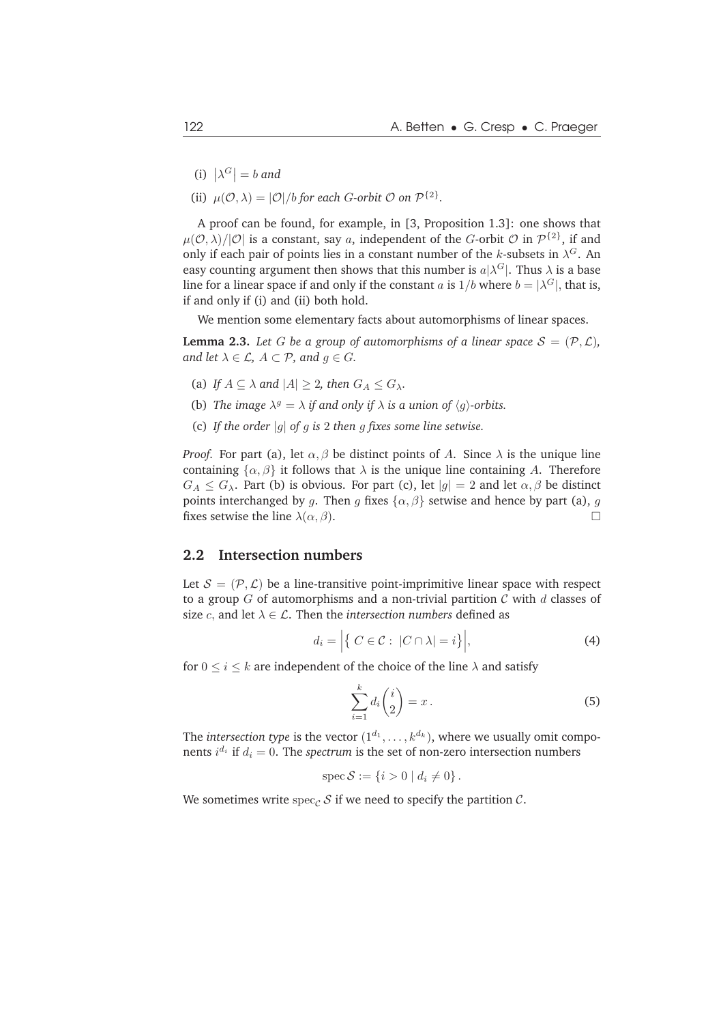- (i)  $|\lambda^G| = b$  and
- (ii)  $\mu(\mathcal{O}, \lambda) = |\mathcal{O}|/b$  *for each G-orbit*  $\mathcal{O}$  *on*  $\mathcal{P}^{\{2\}}$ *.*

A proof can be found, for example, in [3, Proposition 1.3]: one shows that  $\mu({\cal O},\lambda)/|{\cal O}|$  is a constant, say  $a,$  independent of the  $G$ -orbit  ${\cal O}$  in  ${\cal P}^{\{2\}},$  if and only if each pair of points lies in a constant number of the k-subsets in  $\lambda^G$ . An easy counting argument then shows that this number is  $a|\lambda^G|$ . Thus  $\lambda$  is a base line for a linear space if and only if the constant  $a$  is  $1/b$  where  $b = |\lambda^G|$ , that is, if and only if (i) and (ii) both hold.

We mention some elementary facts about automorphisms of linear spaces.

**Lemma 2.3.** Let G be a group of automorphisms of a linear space  $S = (\mathcal{P}, \mathcal{L})$ , *and let*  $\lambda \in \mathcal{L}$ *,*  $A \subset \mathcal{P}$ *, and*  $q \in G$ *.* 

- (a) *If*  $A \subseteq \lambda$  *and*  $|A| \geq 2$ *, then*  $G_A \leq G_\lambda$ *.*
- (b) *The image*  $\lambda^g = \lambda$  *if and only if*  $\lambda$  *is a union of*  $\langle g \rangle$ -orbits.
- (c) *If the order* |g| *of* g *is* 2 *then* g *fixes some line setwise.*

*Proof.* For part (a), let  $\alpha$ ,  $\beta$  be distinct points of A. Since  $\lambda$  is the unique line containing  $\{\alpha, \beta\}$  it follows that  $\lambda$  is the unique line containing A. Therefore  $G_A \leq G_{\lambda}$ . Part (b) is obvious. For part (c), let  $|g| = 2$  and let  $\alpha, \beta$  be distinct points interchanged by g. Then g fixes  $\{\alpha, \beta\}$  setwise and hence by part (a), g fixes setwise the line  $\lambda(\alpha, \beta)$ .

#### **2.2 Intersection numbers**

Let  $S = (\mathcal{P}, \mathcal{L})$  be a line-transitive point-imprimitive linear space with respect to a group G of automorphisms and a non-trivial partition C with d classes of size *c*, and let  $\lambda \in \mathcal{L}$ . Then the *intersection numbers* defined as

$$
d_i = \left| \left\{ \ C \in \mathcal{C} : \ |C \cap \lambda| = i \right\} \right|,\tag{4}
$$

for  $0 \le i \le k$  are independent of the choice of the line  $\lambda$  and satisfy

$$
\sum_{i=1}^{k} d_i \binom{i}{2} = x \,. \tag{5}
$$

The *intersection type* is the vector  $(1^{d_1},...,k^{d_k})$ , where we usually omit components  $i^{d_i}$  if  $d_i = 0$ . The *spectrum* is the set of non-zero intersection numbers

$$
spec S := \{i > 0 \mid d_i \neq 0\}.
$$

We sometimes write spec<sub>C</sub> S if we need to specify the partition  $\mathcal{C}$ .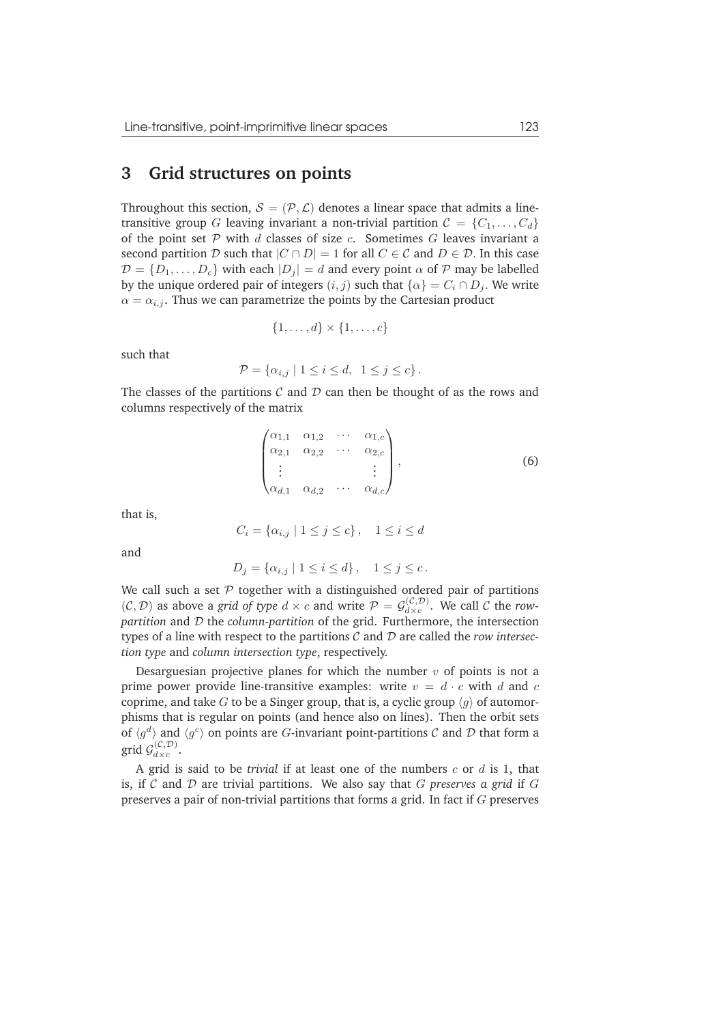#### **3 Grid structures on points**

Throughout this section,  $S = (\mathcal{P}, \mathcal{L})$  denotes a linear space that admits a linetransitive group G leaving invariant a non-trivial partition  $C = \{C_1, \ldots, C_d\}$ of the point set  $P$  with d classes of size c. Sometimes  $G$  leaves invariant a second partition D such that  $|C \cap D| = 1$  for all  $C \in C$  and  $D \in D$ . In this case  $\mathcal{D} = \{D_1, \ldots, D_c\}$  with each  $|D_i| = d$  and every point  $\alpha$  of P may be labelled by the unique ordered pair of integers  $(i, j)$  such that  $\{\alpha\} = C_i \cap D_j$ . We write  $\alpha = \alpha_{i,j}$ . Thus we can parametrize the points by the Cartesian product

$$
\{1,\ldots,d\}\times\{1,\ldots,c\}
$$

such that

$$
\mathcal{P} = \{ \alpha_{i,j} \mid 1 \leq i \leq d, \ 1 \leq j \leq c \}.
$$

The classes of the partitions  $C$  and  $D$  can then be thought of as the rows and columns respectively of the matrix

$$
\begin{pmatrix}\n\alpha_{1,1} & \alpha_{1,2} & \cdots & \alpha_{1,c} \\
\alpha_{2,1} & \alpha_{2,2} & \cdots & \alpha_{2,c} \\
\vdots & & & \vdots \\
\alpha_{d,1} & \alpha_{d,2} & \cdots & \alpha_{d,c}\n\end{pmatrix},
$$
\n(6)

that is,

$$
C_i = \{ \alpha_{i,j} \mid 1 \le j \le c \}, \quad 1 \le i \le d
$$

and

$$
D_j = \{ \alpha_{i,j} \mid 1 \le i \le d \}, \quad 1 \le j \le c.
$$

We call such a set  $P$  together with a distinguished ordered pair of partitions  $(C, D)$  as above a *grid of type*  $d \times c$  and write  $P = \mathcal{G}_{d \times c}^{(C, D)}$  $\frac{d(x, b)}{dx}$ . We call C the *rowpartition* and D the *column-partition* of the grid. Furthermore, the intersection types of a line with respect to the partitions C and D are called the *row intersection type* and *column intersection type*, respectively.

Desarguesian projective planes for which the number  $v$  of points is not a prime power provide line-transitive examples: write  $v = d \cdot c$  with d and c coprime, and take G to be a Singer group, that is, a cyclic group  $\langle q \rangle$  of automorphisms that is regular on points (and hence also on lines). Then the orbit sets of  $\langle g^d \rangle$  and  $\langle g^c \rangle$  on points are G-invariant point-partitions C and D that form a grid  $\mathcal{G}_{d \times c}^{(\mathcal{C}, \mathcal{D})}$  $\frac{(\mathcal{C}, D)}{d \times c}$ .

A grid is said to be *trivial* if at least one of the numbers c or d is 1, that is, if C and D are trivial partitions. We also say that G *preserves a grid* if G preserves a pair of non-trivial partitions that forms a grid. In fact if G preserves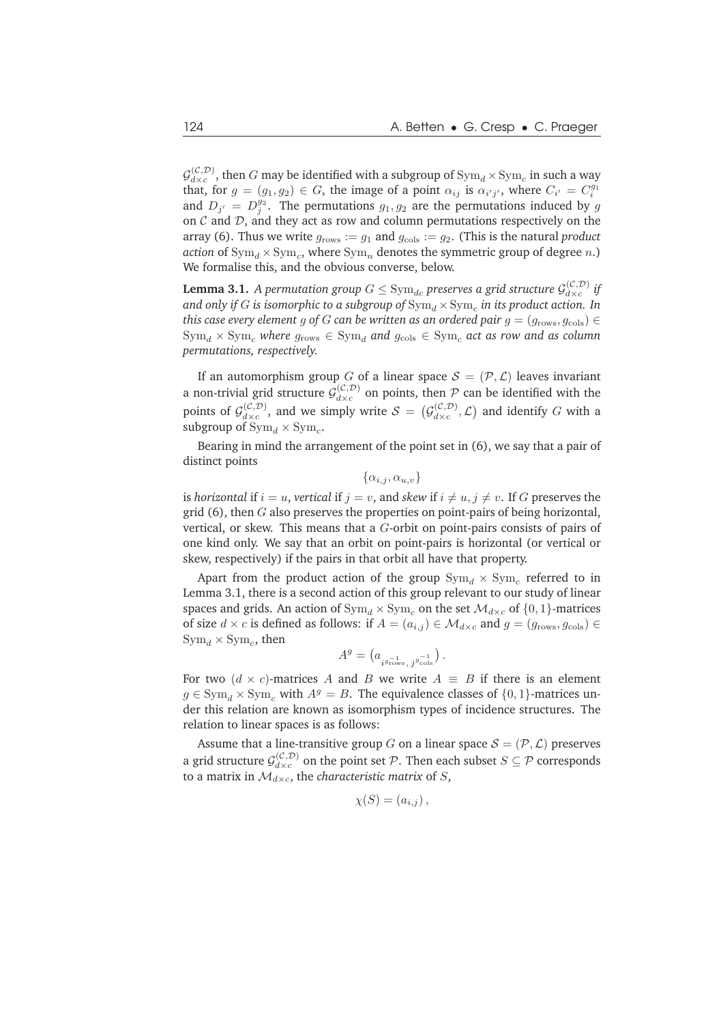$\mathcal{G}_{d\times c}^{(\mathcal{C},\mathcal{D})}$  $\frac{d(x, D)}{dx}$ , then  $G$  may be identified with a subgroup of  $\text{Sym}_d \times \text{Sym}_c$  in such a way that, for  $g = (g_1, g_2) \in G$ , the image of a point  $\alpha_{ij}$  is  $\alpha_{i'j'}$ , where  $C_{i'} = C_i^{g_1}$ and  $D_{j'} = D_j^{g_2}$ . The permutations  $g_1, g_2$  are the permutations induced by g on  $\mathcal C$  and  $\mathcal D$ , and they act as row and column permutations respectively on the array (6). Thus we write  $g_{\text{rows}} := g_1$  and  $g_{\text{cols}} := g_2$ . (This is the natural *product action* of  $\text{Sym}_d \times \text{Sym}_c$ , where  $\text{Sym}_n$  denotes the symmetric group of degree  $n$ .) We formalise this, and the obvious converse, below.

**Lemma 3.1.** A permutation group  $G \le \mathrm{Sym}_{dc}$  preserves a grid structure  $\mathcal{G}_{d \times c}^{(\mathcal{C}, \mathcal{D})}$  $\int_{d\times c}^{(c,\nu)}$  *if* and only if  $G$  is isomorphic to a subgroup of  $\mathrm{Sym}_d \times \mathrm{Sym}_c$  in its product action. In *this case every element* g of G *can be written as an ordered pair*  $g = (g_{rows}, g_{cols}) \in$  $Sym_d \times Sym_c$  *where*  $g_{rows} \in Sym_d$  *and*  $g_{\text{cols}} \in Sym_c$  *act as row and as column permutations, respectively.*

If an automorphism group G of a linear space  $S = (\mathcal{P}, \mathcal{L})$  leaves invariant a non-trivial grid structure  $\mathcal{G}_{d \times c}^{(\mathcal{C}, \mathcal{D})}$  $\frac{d(x, b)}{dx}$  on points, then P can be identified with the points of  $\mathcal{G}_{d \times c}^{(\mathcal{C}, \mathcal{D})}$  $\mathcal{L}^{(\mathcal{C}, \mathcal{D})}_{d \times c}$ , and we simply write  $\mathcal{S} = (\mathcal{G}^{(\mathcal{C}, \mathcal{D})}_{d \times c})$  $\begin{pmatrix} (C,D) \\ d \times c \end{pmatrix}$  and identify G with a subgroup of  $\mathrm{Sym}_d \times \mathrm{Sym}_c$ .

Bearing in mind the arrangement of the point set in (6), we say that a pair of distinct points

 $\{\alpha_{i,j}, \alpha_{u,v}\}$ 

is *horizontal* if  $i = u$ , *vertical* if  $j = v$ , and *skew* if  $i \neq u, j \neq v$ . If G preserves the grid  $(6)$ , then G also preserves the properties on point-pairs of being horizontal, vertical, or skew. This means that a  $G$ -orbit on point-pairs consists of pairs of one kind only. We say that an orbit on point-pairs is horizontal (or vertical or skew, respectively) if the pairs in that orbit all have that property.

Apart from the product action of the group  $\mathrm{Sym}_d \times \mathrm{Sym}_c$  referred to in Lemma 3.1, there is a second action of this group relevant to our study of linear spaces and grids. An action of  $Sym_d \times Sym_c$  on the set  $\mathcal{M}_{d \times c}$  of  $\{0, 1\}$ -matrices of size  $d \times c$  is defined as follows: if  $A = (a_{i,j}) \in \mathcal{M}_{d \times c}$  and  $g = (g_{\text{rows}}, g_{\text{cols}}) \in$  $\mathrm{Sym}_d \times \mathrm{Sym}_c$ , then

$$
A^g=\left(a_{i^{g_{\text{rows}}^-},\,j^{g_{\text{cols}}^-}\right).
$$

For two  $(d \times c)$ -matrices A and B we write  $A \equiv B$  if there is an element  $g \in \text{Sym}_{d} \times \text{Sym}_{g}$  with  $A^{g} = B$ . The equivalence classes of  $\{0, 1\}$ -matrices under this relation are known as isomorphism types of incidence structures. The relation to linear spaces is as follows:

Assume that a line-transitive group G on a linear space  $S = (\mathcal{P}, \mathcal{L})$  preserves a grid structure  $\mathcal{G}_{d \times c}^{(\mathcal{C}, \mathcal{D})}$  $\mathcal{L}_{d \times c}^{(C, D)}$  on the point set P. Then each subset  $S \subseteq \mathcal{P}$  corresponds to a matrix in  $\mathcal{M}_{d \times c}$ , the *characteristic matrix* of S,

$$
\chi(S) = (a_{i,j}),
$$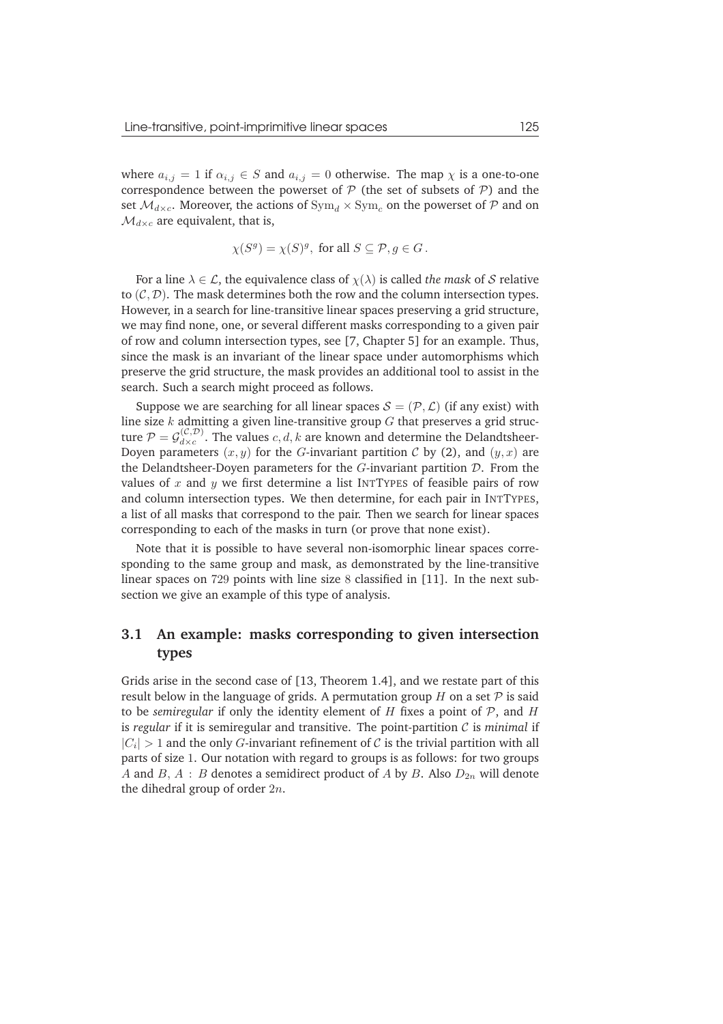where  $a_{i,j} = 1$  if  $\alpha_{i,j} \in S$  and  $a_{i,j} = 0$  otherwise. The map  $\chi$  is a one-to-one correspondence between the powerset of  $P$  (the set of subsets of  $P$ ) and the set  $\mathcal{M}_{d\times c}$ . Moreover, the actions of  $\text{Sym}_d \times \text{Sym}_c$  on the powerset of P and on  $\mathcal{M}_{d\times c}$  are equivalent, that is,

$$
\chi(S^g) = \chi(S)^g, \text{ for all } S \subseteq \mathcal{P}, g \in G.
$$

For a line  $\lambda \in \mathcal{L}$ , the equivalence class of  $\chi(\lambda)$  is called *the mask* of S relative to  $(C, D)$ . The mask determines both the row and the column intersection types. However, in a search for line-transitive linear spaces preserving a grid structure, we may find none, one, or several different masks corresponding to a given pair of row and column intersection types, see [7, Chapter 5] for an example. Thus, since the mask is an invariant of the linear space under automorphisms which preserve the grid structure, the mask provides an additional tool to assist in the search. Such a search might proceed as follows.

Suppose we are searching for all linear spaces  $S = (\mathcal{P}, \mathcal{L})$  (if any exist) with line size  $k$  admitting a given line-transitive group  $G$  that preserves a grid structure  $\mathcal{P} = \mathcal{G}_{d \times c}^{(\mathcal{C}, \mathcal{D})}$  $\frac{\partial(u,\nu)}{\partial x}$ . The values  $c, d, k$  are known and determine the Delandtsheer-Doyen parameters  $(x, y)$  for the G-invariant partition C by (2), and  $(y, x)$  are the Delandtsheer-Doyen parameters for the  $G$ -invariant partition  $D$ . From the values of x and y we first determine a list INTTYPES of feasible pairs of row and column intersection types. We then determine, for each pair in INTTYPES, a list of all masks that correspond to the pair. Then we search for linear spaces corresponding to each of the masks in turn (or prove that none exist).

Note that it is possible to have several non-isomorphic linear spaces corresponding to the same group and mask, as demonstrated by the line-transitive linear spaces on 729 points with line size 8 classified in [11]. In the next subsection we give an example of this type of analysis.

#### **3.1 An example: masks corresponding to given intersection types**

Grids arise in the second case of [13, Theorem 1.4], and we restate part of this result below in the language of grids. A permutation group  $H$  on a set  $P$  is said to be *semiregular* if only the identity element of  $H$  fixes a point of  $P$ , and  $H$ is *regular* if it is semiregular and transitive. The point-partition C is *minimal* if  $|C_i| > 1$  and the only G-invariant refinement of C is the trivial partition with all parts of size 1. Our notation with regard to groups is as follows: for two groups A and B, A : B denotes a semidirect product of A by B. Also  $D_{2n}$  will denote the dihedral group of order  $2n$ .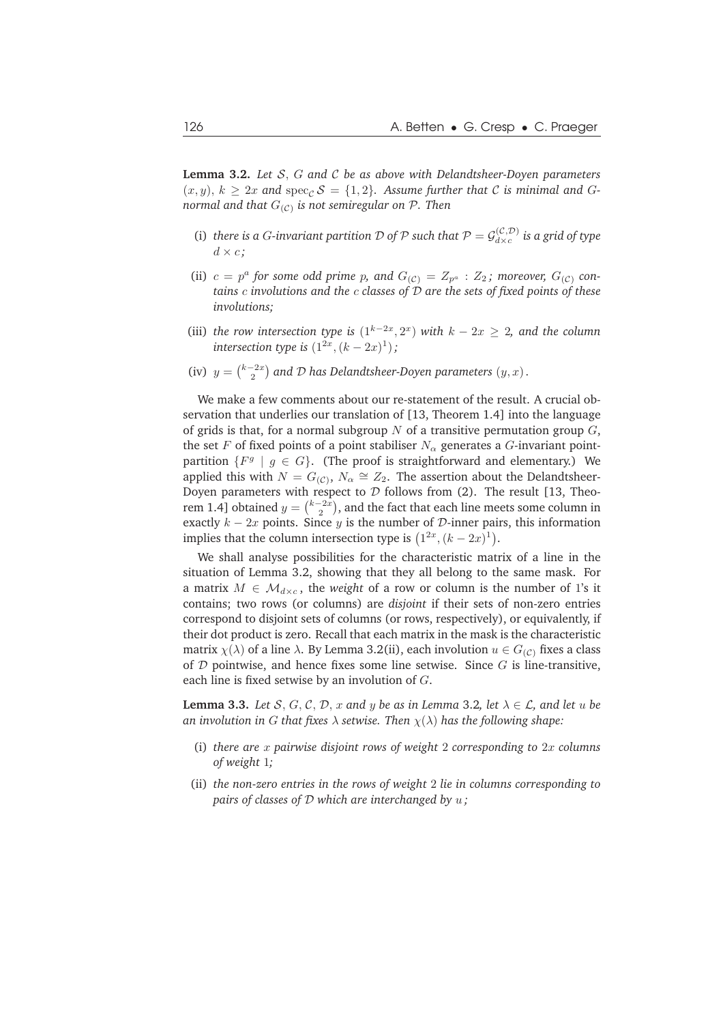**Lemma 3.2.** *Let* S, G *and* C *be as above with Delandtsheer-Doyen parameters*  $(x, y)$ ,  $k \geq 2x$  and spec<sub>C</sub>  $\mathcal{S} = \{1, 2\}$ . Assume further that C is minimal and G*normal and that* G(C) *is not semiregular on* P*. Then*

- (i) *there is a G-invariant partition* D of P such that  $P = \mathcal{G}_{d \times c}^{(\mathcal{C}, \mathcal{D})}$  $\frac{d(x, D)}{dx}$  is a grid of type  $d \times c$ ;
- (ii)  $c = p^a$  for some odd prime p, and  $G_{(C)} = Z_{p^a} : Z_2$ ; moreover,  $G_{(C)}$  con*tains* c *involutions and the* c *classes of* D *are the sets of fixed points of these involutions;*
- (iii) *the row intersection type is*  $(1^{k-2x}, 2^x)$  *with*  $k 2x \geq 2$ *, and the column intersection type is*  $(1^{2x}, (k-2x)^1)$ ;
- (iv)  $y = \binom{k-2x}{2}$  and *D* has Delandtsheer-Doyen parameters  $(y, x)$ .

We make a few comments about our re-statement of the result. A crucial observation that underlies our translation of [13, Theorem 1.4] into the language of grids is that, for a normal subgroup  $N$  of a transitive permutation group  $G$ , the set F of fixed points of a point stabiliser  $N_{\alpha}$  generates a G-invariant pointpartition  $\{F^g \mid g \in G\}$ . (The proof is straightforward and elementary.) We applied this with  $N = G(c)$ ,  $N_\alpha \cong Z_2$ . The assertion about the Delandtsheer-Doyen parameters with respect to  $D$  follows from (2). The result [13, Theorem 1.4] obtained  $y = \binom{k-2x}{2}$ , and the fact that each line meets some column in exactly  $k - 2x$  points. Since y is the number of  $D$ -inner pairs, this information implies that the column intersection type is  $(1^{2x}, (k-2x)^1)$ .

We shall analyse possibilities for the characteristic matrix of a line in the situation of Lemma 3.2, showing that they all belong to the same mask. For a matrix  $M \in \mathcal{M}_{d \times c}$ , the *weight* of a row or column is the number of 1's it contains; two rows (or columns) are *disjoint* if their sets of non-zero entries correspond to disjoint sets of columns (or rows, respectively), or equivalently, if their dot product is zero. Recall that each matrix in the mask is the characteristic matrix  $\chi(\lambda)$  of a line  $\lambda$ . By Lemma 3.2(ii), each involution  $u \in G_{(C)}$  fixes a class of  $D$  pointwise, and hence fixes some line setwise. Since  $G$  is line-transitive, each line is fixed setwise by an involution of G.

**Lemma 3.3.** *Let* S, G, C, D, x and y be as in Lemma 3.2, let  $\lambda \in \mathcal{L}$ , and let u be *an involution in G that fixes*  $\lambda$  *setwise. Then*  $\chi(\lambda)$  *has the following shape:* 

- (i) *there are* x *pairwise disjoint rows of weight* 2 *corresponding to* 2x *columns of weight* 1*;*
- (ii) *the non-zero entries in the rows of weight* 2 *lie in columns corresponding to pairs of classes of* D *which are interchanged by* u *;*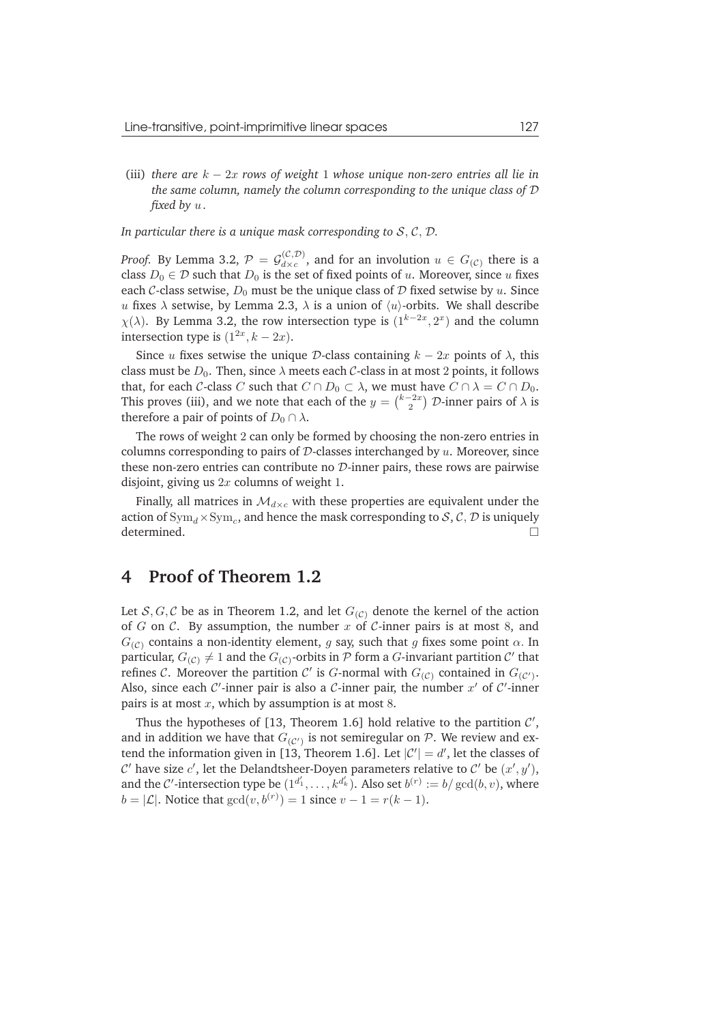(iii) *there are* k − 2x *rows of weight* 1 *whose unique non-zero entries all lie in the same column, namely the column corresponding to the unique class of* D *fixed by* u *.*

#### *In particular there is a unique mask corresponding to* S, C, D*.*

*Proof.* By Lemma 3.2,  $\mathcal{P} = \mathcal{G}_{d \times c}^{(\mathcal{C}, \mathcal{D})}$  $d_{\times c}^{(C,D)}$ , and for an involution  $u \in G_{(C)}$  there is a class  $D_0 \in \mathcal{D}$  such that  $D_0$  is the set of fixed points of  $u$ . Moreover, since  $u$  fixes each C-class setwise,  $D_0$  must be the unique class of D fixed setwise by u. Since u fixes  $\lambda$  setwise, by Lemma 2.3,  $\lambda$  is a union of  $\langle u \rangle$ -orbits. We shall describe  $\chi(\lambda)$ . By Lemma 3.2, the row intersection type is  $(1^{k-2x}, 2^x)$  and the column intersection type is  $(1^{2x}, k - 2x)$ .

Since u fixes setwise the unique D-class containing  $k - 2x$  points of  $\lambda$ , this class must be  $D_0$ . Then, since  $\lambda$  meets each  $\mathcal C$ -class in at most 2 points, it follows that, for each C-class C such that  $C \cap D_0 \subset \lambda$ , we must have  $C \cap \lambda = C \cap D_0$ . This proves (iii), and we note that each of the  $y = \binom{k-2x}{2}$   ${\cal D}$ -inner pairs of  $\lambda$  is therefore a pair of points of  $D_0 \cap \lambda$ .

The rows of weight 2 can only be formed by choosing the non-zero entries in columns corresponding to pairs of  $D$ -classes interchanged by  $u$ . Moreover, since these non-zero entries can contribute no  $\mathcal{D}$ -inner pairs, these rows are pairwise disjoint, giving us  $2x$  columns of weight 1.

Finally, all matrices in  $\mathcal{M}_{d\times c}$  with these properties are equivalent under the action of  $\mathrm{Sym}_d \times \mathrm{Sym}_c$ , and hence the mask corresponding to  $\mathcal{S}, \mathcal{C}, \mathcal{D}$  is uniquely determined.

## **4 Proof of Theorem 1.2**

Let  $S, G, C$  be as in Theorem 1.2, and let  $G_{(C)}$  denote the kernel of the action of G on C. By assumption, the number  $x$  of C-inner pairs is at most 8, and  $G(c)$  contains a non-identity element, g say, such that g fixes some point  $\alpha$ . In particular,  $G_{(C)} \neq 1$  and the  $G_{(C)}$ -orbits in  $\mathcal P$  form a  $G$ -invariant partition  $\mathcal C'$  that refines C. Moreover the partition C' is G-normal with  $G_{(C)}$  contained in  $G_{(C')}$ . Also, since each  $\mathcal{C}'$ -inner pair is also a  $\mathcal{C}$ -inner pair, the number  $x'$  of  $\mathcal{C}'$ -inner pairs is at most  $x$ , which by assumption is at most 8.

Thus the hypotheses of  $[13,$  Theorem 1.6] hold relative to the partition  $C'$ , and in addition we have that  $G_{(\mathcal{C}')}$  is not semiregular on  $\mathcal{P}.$  We review and extend the information given in [13, Theorem 1.6]. Let  $|C'| = d'$ , let the classes of C' have size c', let the Delandtsheer-Doyen parameters relative to C' be  $(x', y')$ , and the C'-intersection type be  $(1^{d'_1}, \ldots, k^{d'_k})$ . Also set  $b^{(r)} := b/\gcd(b, v)$ , where  $b = |\mathcal{L}|$ . Notice that  $gcd(v, b^{(r)}) = 1$  since  $v - 1 = r(k - 1)$ .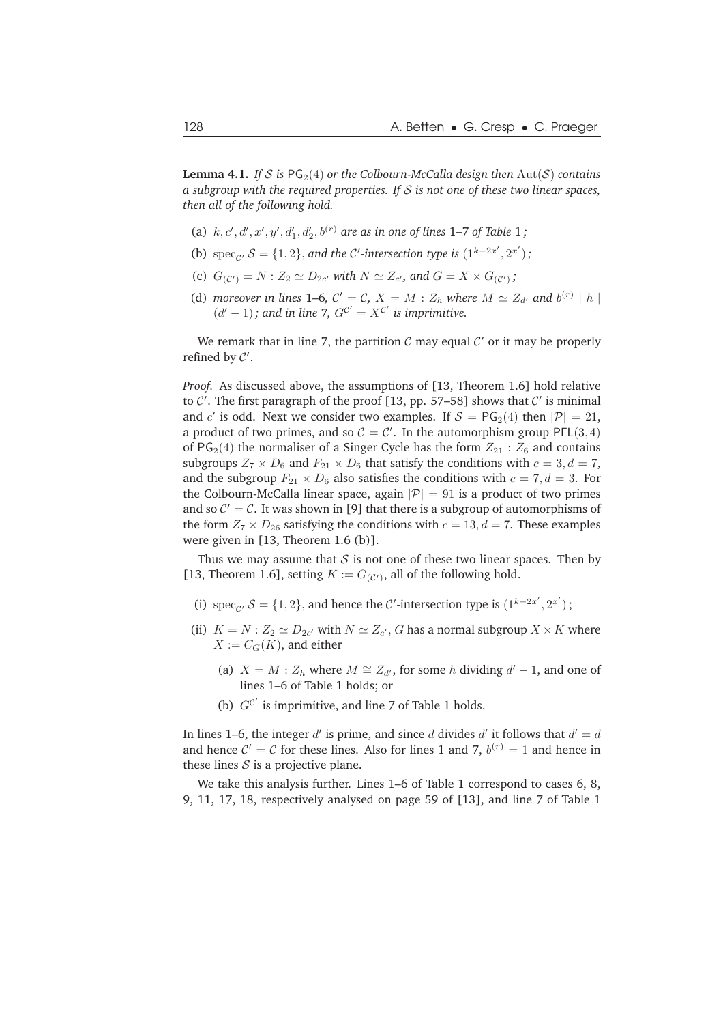**Lemma 4.1.** *If* S is  $PG<sub>2</sub>(4)$  *or the Colbourn-McCalla design then*  $Aut(S)$  *contains a subgroup with the required properties. If* S *is not one of these two linear spaces, then all of the following hold.*

- (a)  $k, c', d', x', y', d'_1, d'_2, b^{(r)}$  are as in one of lines 1–7 of Table 1;
- (b)  $\text{spec}_{\mathcal{C}'} S = \{1, 2\}$ , and the C'-intersection type is  $(1^{k-2x'}, 2^{x'})$ ;
- (c)  $G_{(C')} = N : Z_2 \simeq D_{2c'}$  with  $N \simeq Z_{c'}$ , and  $G = X \times G_{(C')}$ ;
- (d) *moreover in lines* 1–6,  $C' = C$ ,  $X = M : Z_h$  where  $M \simeq Z_{d'}$  and  $b^{(r)} \mid h \mid$  $(d'-1)$ ; and in line 7,  $G^{C'} = X^{C'}$  is imprimitive.

We remark that in line 7, the partition  $C$  may equal  $C'$  or it may be properly refined by  $C'$ .

*Proof.* As discussed above, the assumptions of [13, Theorem 1.6] hold relative to  $C'$ . The first paragraph of the proof [13, pp. 57-58] shows that  $C'$  is minimal and c' is odd. Next we consider two examples. If  $S = PG_2(4)$  then  $|P| = 21$ , a product of two primes, and so  $C = C'$ . In the automorphism group PFL(3, 4) of  $PG<sub>2</sub>(4)$  the normaliser of a Singer Cycle has the form  $Z_{21}$  :  $Z_6$  and contains subgroups  $Z_7 \times D_6$  and  $F_{21} \times D_6$  that satisfy the conditions with  $c = 3, d = 7$ , and the subgroup  $F_{21} \times D_6$  also satisfies the conditions with  $c = 7, d = 3$ . For the Colbourn-McCalla linear space, again  $|\mathcal{P}| = 91$  is a product of two primes and so  $C' = C$ . It was shown in [9] that there is a subgroup of automorphisms of the form  $Z_7 \times D_{26}$  satisfying the conditions with  $c = 13, d = 7$ . These examples were given in [13, Theorem 1.6 (b)].

Thus we may assume that  $S$  is not one of these two linear spaces. Then by [13, Theorem 1.6], setting  $K := G_{(\mathcal{C}')}$ , all of the following hold.

- (i)  $\operatorname{spec}_{\mathcal{C}'} S = \{1, 2\}$ , and hence the  $\mathcal{C}'$ -intersection type is  $(1^{k-2x'}, 2^{x'})$ ;
- (ii)  $K = N : Z_2 \simeq D_{2c'}$  with  $N \simeq Z_{c'}$ , G has a normal subgroup  $X \times K$  where  $X := C_G(K)$ , and either
	- (a)  $X = M : Z_h$  where  $M \cong Z_{d'}$ , for some h dividing  $d' 1$ , and one of lines 1–6 of Table 1 holds; or
	- (b)  $G^{C'}$  is imprimitive, and line 7 of Table 1 holds.

In lines 1–6, the integer  $d'$  is prime, and since  $d$  divides  $d'$  it follows that  $d' = d$ and hence  $C' = C$  for these lines. Also for lines 1 and 7,  $b^{(r)} = 1$  and hence in these lines  $S$  is a projective plane.

We take this analysis further. Lines 1–6 of Table 1 correspond to cases 6, 8, 9, 11, 17, 18, respectively analysed on page 59 of [13], and line 7 of Table 1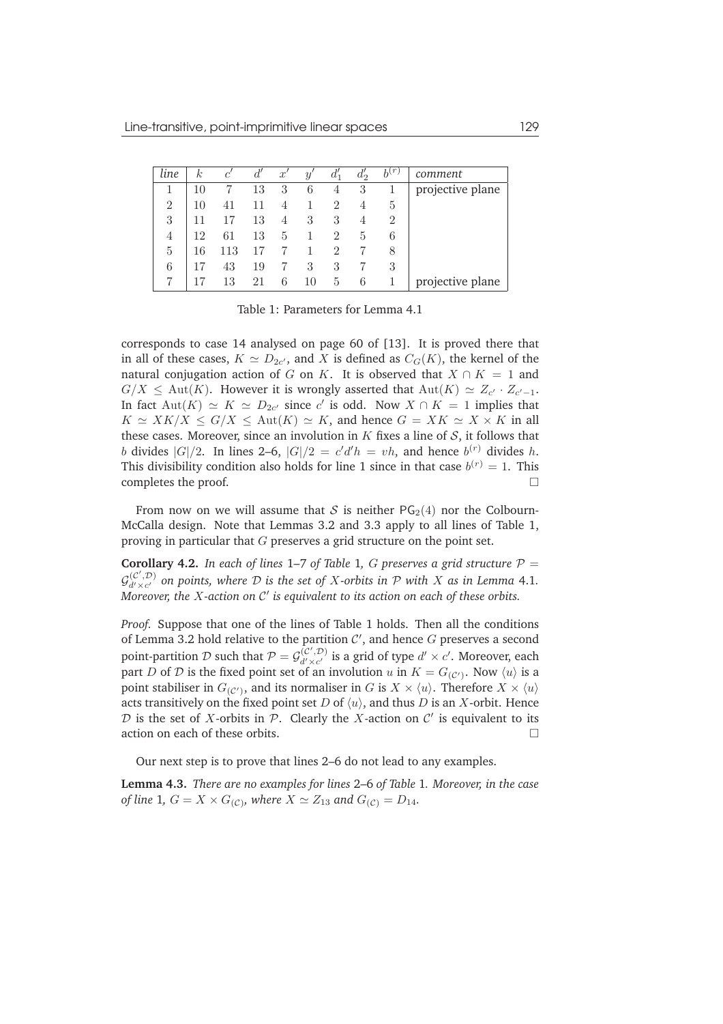| line           | $_{k}$ | c'  | d' | $x^{\prime}$ | $y^{\prime}$ | $d_1'$         | $d_2'$ | $b^{(r)}$      | comment          |
|----------------|--------|-----|----|--------------|--------------|----------------|--------|----------------|------------------|
|                | 10     |     | 13 | 3            | 6            | 4              | 3      |                | projective plane |
| $\overline{2}$ | 10     | 41  | 11 | 4            |              | $\overline{2}$ | 4      | 5              |                  |
| 3              |        |     | 13 | 4            | 3            | 3              | 4      | $\overline{2}$ |                  |
| 4              | 12     | 61  | 13 | 5            |              | 2              | 5      | 6              |                  |
| 5              | 16     | 113 |    |              |              | 2              |        | 8              |                  |
| 6              |        | 43  | 19 |              | 3            | 3              |        | 3              |                  |
|                |        | 13  | 21 | 6            | 10           | 5              | 6      |                | projective plane |

Table 1: Parameters for Lemma 4.1

corresponds to case 14 analysed on page 60 of [13]. It is proved there that in all of these cases,  $K \simeq D_{2c'}$ , and X is defined as  $C_G(K)$ , the kernel of the natural conjugation action of G on K. It is observed that  $X \cap K = 1$  and  $G/X \le \text{Aut}(K)$ . However it is wrongly asserted that  $\text{Aut}(K) \simeq Z_{c'} \cdot Z_{c'-1}$ . In fact  $\mathrm{Aut}(K) \simeq K \simeq D_{2c'}$  since c' is odd. Now  $X \cap K = 1$  implies that  $K \simeq XK/X \leq G/X \leq \text{Aut}(K) \simeq K$ , and hence  $G = XK \simeq X \times K$  in all these cases. Moreover, since an involution in  $K$  fixes a line of  $S$ , it follows that b divides  $|G|/2$ . In lines 2–6,  $|G|/2 = c'd'h = vh$ , and hence  $b^{(r)}$  divides h. This divisibility condition also holds for line 1 since in that case  $b^{(r)} = 1$ . This completes the proof.

From now on we will assume that S is neither  $PG<sub>2</sub>(4)$  nor the Colbourn-McCalla design. Note that Lemmas 3.2 and 3.3 apply to all lines of Table 1, proving in particular that G preserves a grid structure on the point set.

**Corollary 4.2.** *In each of lines* 1–7 *of Table* 1*, G preserves a grid structure*  $P =$  $\mathcal{G}_{d' \times c'}^{(C', \mathcal{D})}$  on points, where  $\mathcal D$  is the set of X-orbits in  $\mathcal P$  with X as in Lemma 4.1. Moreover, the X-action on C' is equivalent to its action on each of these orbits.

*Proof.* Suppose that one of the lines of Table 1 holds. Then all the conditions of Lemma 3.2 hold relative to the partition  $\mathcal{C}'$ , and hence  $G$  preserves a second point-partition D such that  $P = G_{d' \times c'}^{(c', D)}$  is a grid of type  $d' \times c'$ . Moreover, each part  $D$  of  $\cal D$  is the fixed point set of an involution  $u$  in  $K=G_{({\cal C}')}$ . Now  $\langle u \rangle$  is a point stabiliser in  $G_{(\mathcal{C}')}$ , and its normaliser in  $G$  is  $X\times \langle u\rangle.$  Therefore  $X\times \langle u\rangle$ acts transitively on the fixed point set D of  $\langle u \rangle$ , and thus D is an X-orbit. Hence  $D$  is the set of X-orbits in  $P$ . Clearly the X-action on  $C'$  is equivalent to its action on each of these orbits.

Our next step is to prove that lines 2–6 do not lead to any examples.

**Lemma 4.3.** *There are no examples for lines* 2–6 *of Table* 1*. Moreover, in the case of line* 1*,*  $G = X \times G_{(C)}$ *, where*  $X \simeq Z_{13}$  *and*  $G_{(C)} = D_{14}$ *.*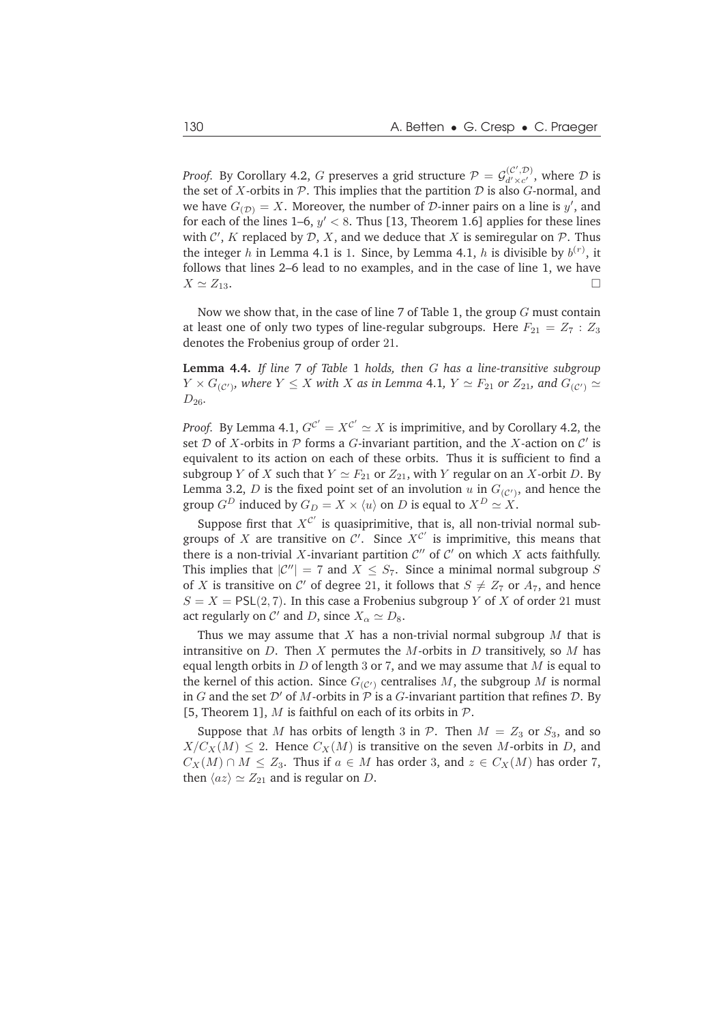*Proof.* By Corollary 4.2,  $G$  preserves a grid structure  $\mathcal{P}=\mathcal{G}_{d'\times c'}^{(\mathcal{C}',\mathcal{D})}$ , where  $\mathcal D$  is the set of  $X$ -orbits in  $P$ . This implies that the partition  $D$  is also  $G$ -normal, and we have  $G_{(\mathcal{D})} = X$ . Moreover, the number of  $\mathcal{D}$ -inner pairs on a line is  $y'$ , and for each of the lines 1–6,  $y' < 8$ . Thus [13, Theorem 1.6] applies for these lines with  $\mathcal{C}'$ ,  $K$  replaced by  $\mathcal{D}$ ,  $X$ , and we deduce that  $X$  is semiregular on  $\mathcal{P}$ . Thus the integer h in Lemma 4.1 is 1. Since, by Lemma 4.1, h is divisible by  $b^{(r)}$ , it follows that lines 2–6 lead to no examples, and in the case of line 1, we have  $X \simeq Z_{13}.$ 

Now we show that, in the case of line 7 of Table 1, the group  $G$  must contain at least one of only two types of line-regular subgroups. Here  $F_{21} = Z_7 : Z_3$ denotes the Frobenius group of order 21.

**Lemma 4.4.** *If line* 7 *of Table* 1 *holds, then* G *has a line-transitive subgroup*  $Y \times G_{(\mathcal{C}')}$ , where  $Y \leq X$  with  $X$  as in Lemma 4.1,  $Y \simeq F_{21}$  or  $Z_{21}$ , and  $G_{(\mathcal{C}')} \simeq F_{21}$  $D_{26}$ .

*Proof.* By Lemma 4.1,  $G^{C'} = X^{C'} \simeq X$  is imprimitive, and by Corollary 4.2, the set  $D$  of X-orbits in  $P$  forms a  $G$ -invariant partition, and the X-action on  $C'$  is equivalent to its action on each of these orbits. Thus it is sufficient to find a subgroup Y of X such that  $Y \simeq F_{21}$  or  $Z_{21}$ , with Y regular on an X-orbit D. By Lemma 3.2,  $D$  is the fixed point set of an involution  $u$  in  $G_{(C')}$ , and hence the group  $G^D$  induced by  $G_D = X \times \langle u \rangle$  on D is equal to  $X^D \simeq X$ .

Suppose first that  $X^{C'}$  is quasiprimitive, that is, all non-trivial normal subgroups of X are transitive on C'. Since  $X^{C'}$  is imprimitive, this means that there is a non-trivial X-invariant partition  $\mathcal{C}''$  of  $\mathcal{C}'$  on which X acts faithfully. This implies that  $|\mathcal{C}''| = 7$  and  $X \leq S_7$ . Since a minimal normal subgroup S of X is transitive on C' of degree 21, it follows that  $S \neq Z_7$  or  $A_7$ , and hence  $S = X = \text{PSL}(2, 7)$ . In this case a Frobenius subgroup Y of X of order 21 must act regularly on  $\mathcal{C}'$  and D, since  $X_{\alpha} \simeq D_8$ .

Thus we may assume that  $X$  has a non-trivial normal subgroup  $M$  that is intransitive on  $D$ . Then  $X$  permutes the  $M$ -orbits in  $D$  transitively, so  $M$  has equal length orbits in  $D$  of length 3 or 7, and we may assume that  $M$  is equal to the kernel of this action. Since  $G_{(C)}$  centralises M, the subgroup M is normal in G and the set  $\mathcal{D}'$  of M-orbits in  $\mathcal P$  is a G-invariant partition that refines  $\mathcal D$ . By [5, Theorem 1], M is faithful on each of its orbits in  $\mathcal{P}$ .

Suppose that M has orbits of length 3 in P. Then  $M = Z_3$  or  $S_3$ , and so  $X/C_X(M) \leq 2$ . Hence  $C_X(M)$  is transitive on the seven M-orbits in D, and  $C_X(M) \cap M \leq Z_3$ . Thus if  $a \in M$  has order 3, and  $z \in C_X(M)$  has order 7, then  $\langle az \rangle \simeq Z_{21}$  and is regular on D.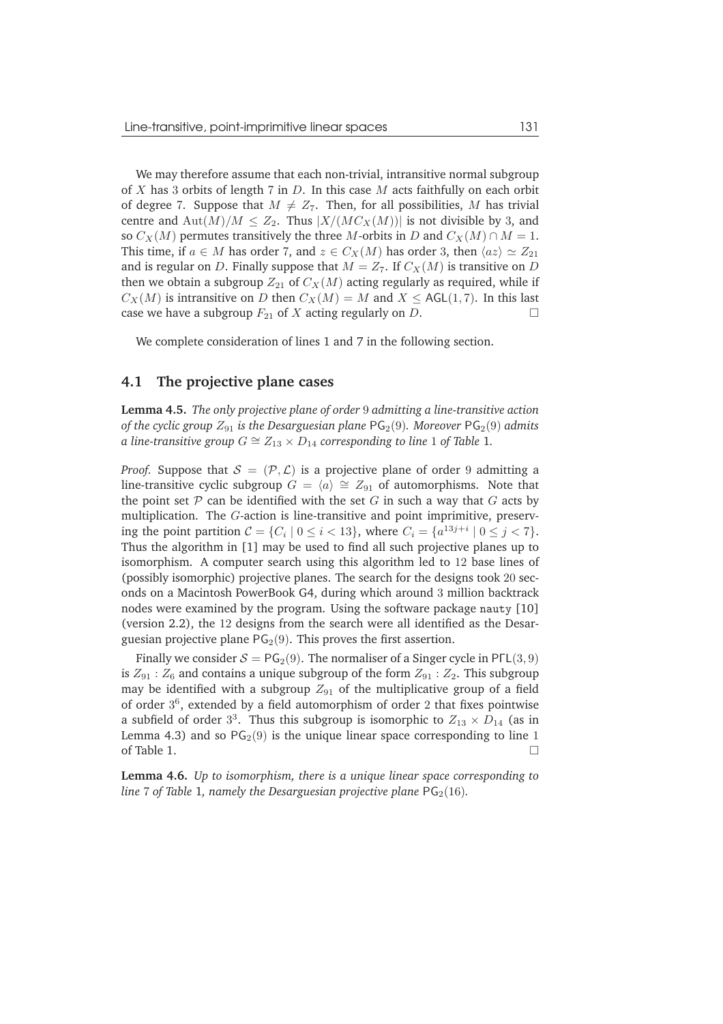We may therefore assume that each non-trivial, intransitive normal subgroup of  $X$  has 3 orbits of length 7 in  $D$ . In this case  $M$  acts faithfully on each orbit of degree 7. Suppose that  $M \neq Z_7$ . Then, for all possibilities, M has trivial centre and  $\text{Aut}(M)/M < Z_2$ . Thus  $|X/(MC_X(M))|$  is not divisible by 3, and so  $C_X(M)$  permutes transitively the three M-orbits in D and  $C_X(M) \cap M = 1$ . This time, if  $a \in M$  has order 7, and  $z \in C_X(M)$  has order 3, then  $\langle az \rangle \simeq Z_{21}$ and is regular on D. Finally suppose that  $M = Z_7$ . If  $C_X(M)$  is transitive on D then we obtain a subgroup  $Z_{21}$  of  $C_X(M)$  acting regularly as required, while if  $C_X(M)$  is intransitive on D then  $C_X(M) = M$  and  $X \leq AGL(1, 7)$ . In this last case we have a subgroup  $F_{21}$  of X acting regularly on D.

We complete consideration of lines 1 and 7 in the following section.

#### **4.1 The projective plane cases**

**Lemma 4.5.** *The only projective plane of order* 9 *admitting a line-transitive action of the cyclic group*  $Z_{91}$  *is the Desarguesian plane*  $PG<sub>2</sub>(9)$ *. Moreover*  $PG<sub>2</sub>(9)$  *admits a line-transitive group*  $G ≅ Z_{13} × D_{14}$  *corresponding to line* 1 *of Table* 1*.* 

*Proof.* Suppose that  $S = (\mathcal{P}, \mathcal{L})$  is a projective plane of order 9 admitting a line-transitive cyclic subgroup  $G = \langle a \rangle \cong Z_{91}$  of automorphisms. Note that the point set  $P$  can be identified with the set  $G$  in such a way that  $G$  acts by multiplication. The G-action is line-transitive and point imprimitive, preserving the point partition  $C = \{C_i \mid 0 \le i < 13\}$ , where  $C_i = \{a^{13j+i} \mid 0 \le j < 7\}$ . Thus the algorithm in [1] may be used to find all such projective planes up to isomorphism. A computer search using this algorithm led to 12 base lines of (possibly isomorphic) projective planes. The search for the designs took 20 seconds on a Macintosh PowerBook G4, during which around 3 million backtrack nodes were examined by the program. Using the software package nauty [10] (version 2.2), the 12 designs from the search were all identified as the Desarguesian projective plane  $PG<sub>2</sub>(9)$ . This proves the first assertion.

Finally we consider  $S = PG_2(9)$ . The normaliser of a Singer cycle in PFL(3,9) is  $Z_{91}$ :  $Z_6$  and contains a unique subgroup of the form  $Z_{91}$ :  $Z_2$ . This subgroup may be identified with a subgroup  $Z_{91}$  of the multiplicative group of a field of order  $3^6$ , extended by a field automorphism of order 2 that fixes pointwise a subfield of order  $3^3$ . Thus this subgroup is isomorphic to  $Z_{13} \times D_{14}$  (as in Lemma 4.3) and so  $PG<sub>2</sub>(9)$  is the unique linear space corresponding to line 1 of Table 1.

**Lemma 4.6.** *Up to isomorphism, there is a unique linear space corresponding to line* 7 of Table 1, namely the Desarguesian projective plane  $PG<sub>2</sub>(16)$ *.*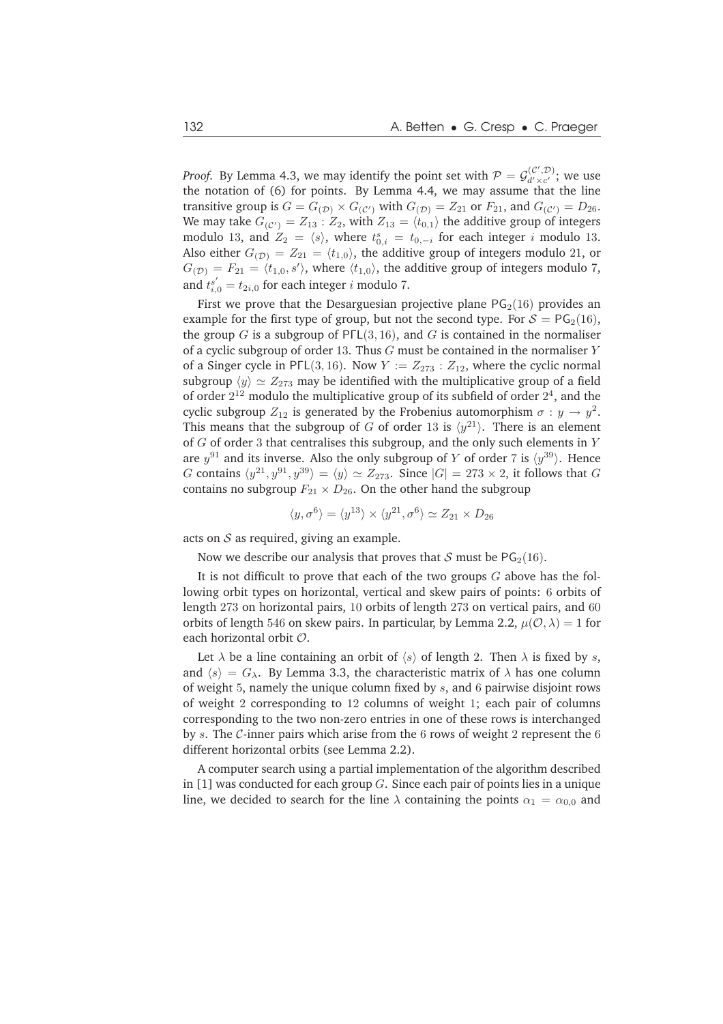*Proof.* By Lemma 4.3, we may identify the point set with  $P = \mathcal{G}_{d' \times c'}^{(\mathcal{C}', \mathcal{D})}$ ; we use the notation of (6) for points. By Lemma 4.4, we may assume that the line transitive group is  $G = G_{(D)} \times G_{(C')}$  with  $G_{(D)} = Z_{21}$  or  $F_{21}$ , and  $G_{(C')} = D_{26}$ . We may take  $G_{(C')} = Z_{13} : Z_2$ , with  $Z_{13} = \langle t_{0,1} \rangle$  the additive group of integers modulo 13, and  $Z_2 = \langle s \rangle$ , where  $t_{0,i}^s = t_{0,-i}$  for each integer i modulo 13. Also either  $G_{(\mathcal{D})} = Z_{21} = \langle t_{1,0} \rangle$ , the additive group of integers modulo 21, or  $G_{(\mathcal{D})} = F_{21} = \langle t_{1,0}, s' \rangle$ , where  $\langle t_{1,0} \rangle$ , the additive group of integers modulo 7, and  $t_{i,0}^{s'} = t_{2i,0}$  for each integer *i* modulo 7.

First we prove that the Desarguesian projective plane  $PG<sub>2</sub>(16)$  provides an example for the first type of group, but not the second type. For  $S = PG_2(16)$ , the group  $G$  is a subgroup of PFL(3, 16), and  $G$  is contained in the normaliser of a cyclic subgroup of order 13. Thus  $G$  must be contained in the normaliser  $Y$ of a Singer cycle in PΓL(3, 16). Now  $Y := Z_{273} : Z_{12}$ , where the cyclic normal subgroup  $\langle y \rangle \simeq Z_{273}$  may be identified with the multiplicative group of a field of order  $2^{12}$  modulo the multiplicative group of its subfield of order  $2^4$ , and the cyclic subgroup  $Z_{12}$  is generated by the Frobenius automorphism  $\sigma : y \to y^2$ . This means that the subgroup of G of order 13 is  $\langle y^{21} \rangle$ . There is an element of  $G$  of order 3 that centralises this subgroup, and the only such elements in  $Y$ are  $y^{91}$  and its inverse. Also the only subgroup of Y of order 7 is  $\langle y^{39} \rangle$ . Hence G contains  $\langle y^{21}, y^{91}, y^{39} \rangle = \langle y \rangle \simeq Z_{273}$ . Since  $|G| = 273 \times 2$ , it follows that G contains no subgroup  $F_{21} \times D_{26}$ . On the other hand the subgroup

$$
\langle y, \sigma^6 \rangle = \langle y^{13} \rangle \times \langle y^{21}, \sigma^6 \rangle \simeq Z_{21} \times D_{26}
$$

acts on  $S$  as required, giving an example.

Now we describe our analysis that proves that S must be  $PG<sub>2</sub>(16)$ .

It is not difficult to prove that each of the two groups  $G$  above has the following orbit types on horizontal, vertical and skew pairs of points: 6 orbits of length 273 on horizontal pairs, 10 orbits of length 273 on vertical pairs, and 60 orbits of length 546 on skew pairs. In particular, by Lemma 2.2,  $\mu(\mathcal{O}, \lambda) = 1$  for each horizontal orbit O.

Let  $\lambda$  be a line containing an orbit of  $\langle s \rangle$  of length 2. Then  $\lambda$  is fixed by s, and  $\langle s \rangle = G_{\lambda}$ . By Lemma 3.3, the characteristic matrix of  $\lambda$  has one column of weight 5, namely the unique column fixed by s, and 6 pairwise disjoint rows of weight 2 corresponding to 12 columns of weight 1; each pair of columns corresponding to the two non-zero entries in one of these rows is interchanged by s. The  $\mathcal{C}$ -inner pairs which arise from the 6 rows of weight 2 represent the 6 different horizontal orbits (see Lemma 2.2).

A computer search using a partial implementation of the algorithm described in [1] was conducted for each group  $G$ . Since each pair of points lies in a unique line, we decided to search for the line  $\lambda$  containing the points  $\alpha_1 = \alpha_{0,0}$  and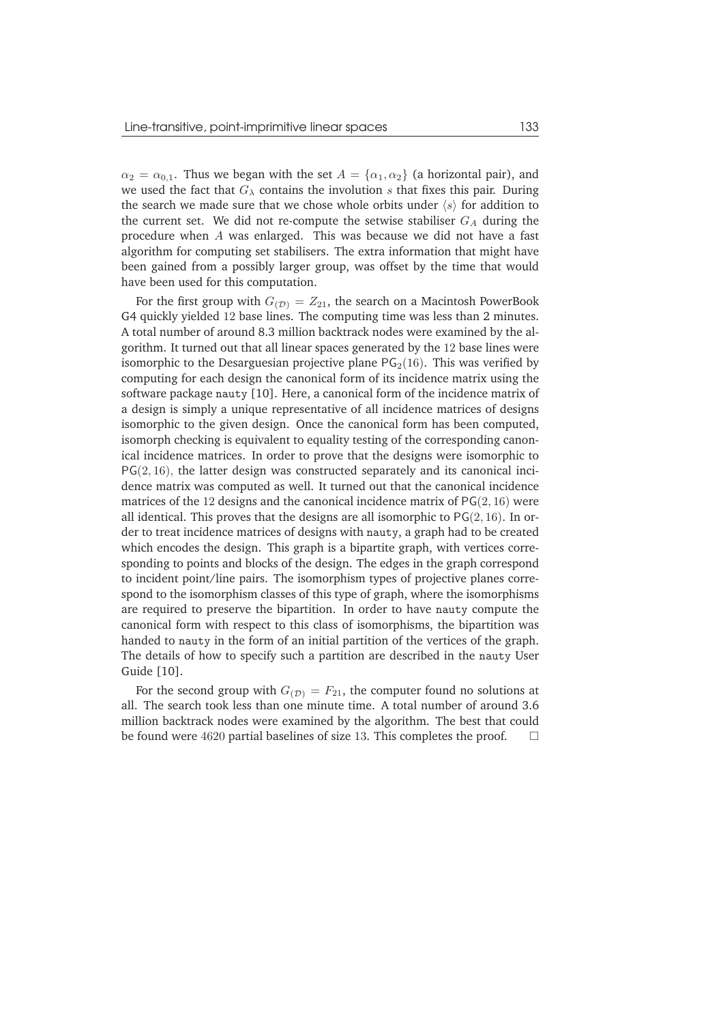$\alpha_2 = \alpha_{0,1}$ . Thus we began with the set  $A = {\alpha_1, \alpha_2}$  (a horizontal pair), and we used the fact that  $G_{\lambda}$  contains the involution s that fixes this pair. During the search we made sure that we chose whole orbits under  $\langle s \rangle$  for addition to the current set. We did not re-compute the setwise stabiliser  $G_A$  during the procedure when A was enlarged. This was because we did not have a fast algorithm for computing set stabilisers. The extra information that might have been gained from a possibly larger group, was offset by the time that would have been used for this computation.

For the first group with  $G(p) = Z_{21}$ , the search on a Macintosh PowerBook G4 quickly yielded 12 base lines. The computing time was less than 2 minutes. A total number of around 8.3 million backtrack nodes were examined by the algorithm. It turned out that all linear spaces generated by the 12 base lines were isomorphic to the Desarguesian projective plane  $PG<sub>2</sub>(16)$ . This was verified by computing for each design the canonical form of its incidence matrix using the software package nauty [10]. Here, a canonical form of the incidence matrix of a design is simply a unique representative of all incidence matrices of designs isomorphic to the given design. Once the canonical form has been computed, isomorph checking is equivalent to equality testing of the corresponding canonical incidence matrices. In order to prove that the designs were isomorphic to  $PG(2, 16)$ , the latter design was constructed separately and its canonical incidence matrix was computed as well. It turned out that the canonical incidence matrices of the 12 designs and the canonical incidence matrix of  $PG(2, 16)$  were all identical. This proves that the designs are all isomorphic to  $PG(2, 16)$ . In order to treat incidence matrices of designs with nauty, a graph had to be created which encodes the design. This graph is a bipartite graph, with vertices corresponding to points and blocks of the design. The edges in the graph correspond to incident point/line pairs. The isomorphism types of projective planes correspond to the isomorphism classes of this type of graph, where the isomorphisms are required to preserve the bipartition. In order to have nauty compute the canonical form with respect to this class of isomorphisms, the bipartition was handed to nauty in the form of an initial partition of the vertices of the graph. The details of how to specify such a partition are described in the nauty User Guide [10].

For the second group with  $G_{(D)} = F_{21}$ , the computer found no solutions at all. The search took less than one minute time. A total number of around 3.6 million backtrack nodes were examined by the algorithm. The best that could be found were 4620 partial baselines of size 13. This completes the proof.  $\Box$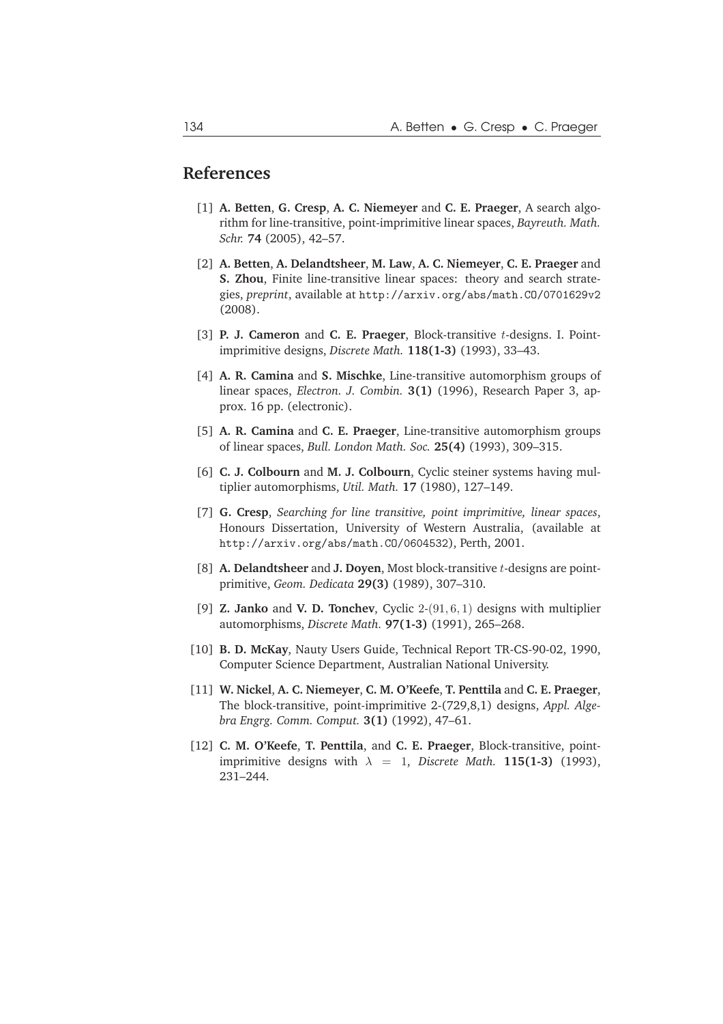#### **References**

- [1] **A. Betten**, **G. Cresp**, **A. C. Niemeyer** and **C. E. Praeger**, A search algorithm for line-transitive, point-imprimitive linear spaces, *Bayreuth. Math. Schr.* **74** (2005), 42–57.
- [2] **A. Betten**, **A. Delandtsheer**, **M. Law**, **A. C. Niemeyer**, **C. E. Praeger** and **S. Zhou**, Finite line-transitive linear spaces: theory and search strategies, *preprint*, available at http://arxiv.org/abs/math.CO/0701629v2 (2008).
- [3] **P. J. Cameron** and **C. E. Praeger**, Block-transitive t-designs. I. Pointimprimitive designs, *Discrete Math.* **118(1-3)** (1993), 33–43.
- [4] **A. R. Camina** and **S. Mischke**, Line-transitive automorphism groups of linear spaces, *Electron. J. Combin.* **3(1)** (1996), Research Paper 3, approx. 16 pp. (electronic).
- [5] **A. R. Camina** and **C. E. Praeger**, Line-transitive automorphism groups of linear spaces, *Bull. London Math. Soc.* **25(4)** (1993), 309–315.
- [6] **C. J. Colbourn** and **M. J. Colbourn**, Cyclic steiner systems having multiplier automorphisms, *Util. Math.* **17** (1980), 127–149.
- [7] **G. Cresp**, *Searching for line transitive, point imprimitive, linear spaces*, Honours Dissertation, University of Western Australia, (available at http://arxiv.org/abs/math.CO/0604532), Perth, 2001.
- [8] **A. Delandtsheer** and **J. Doyen**, Most block-transitive t-designs are pointprimitive, *Geom. Dedicata* **29(3)** (1989), 307–310.
- [9] **Z. Janko** and **V. D. Tonchev**, Cyclic 2-(91, 6, 1) designs with multiplier automorphisms, *Discrete Math.* **97(1-3)** (1991), 265–268.
- [10] **B. D. McKay**, Nauty Users Guide, Technical Report TR-CS-90-02, 1990, Computer Science Department, Australian National University.
- [11] **W. Nickel**, **A. C. Niemeyer**, **C. M. O'Keefe**, **T. Penttila** and **C. E. Praeger**, The block-transitive, point-imprimitive 2-(729,8,1) designs, *Appl. Algebra Engrg. Comm. Comput.* **3(1)** (1992), 47–61.
- [12] **C. M. O'Keefe**, **T. Penttila**, and **C. E. Praeger**, Block-transitive, pointimprimitive designs with  $\lambda = 1$ , *Discrete Math.* **115(1-3)** (1993), 231–244.